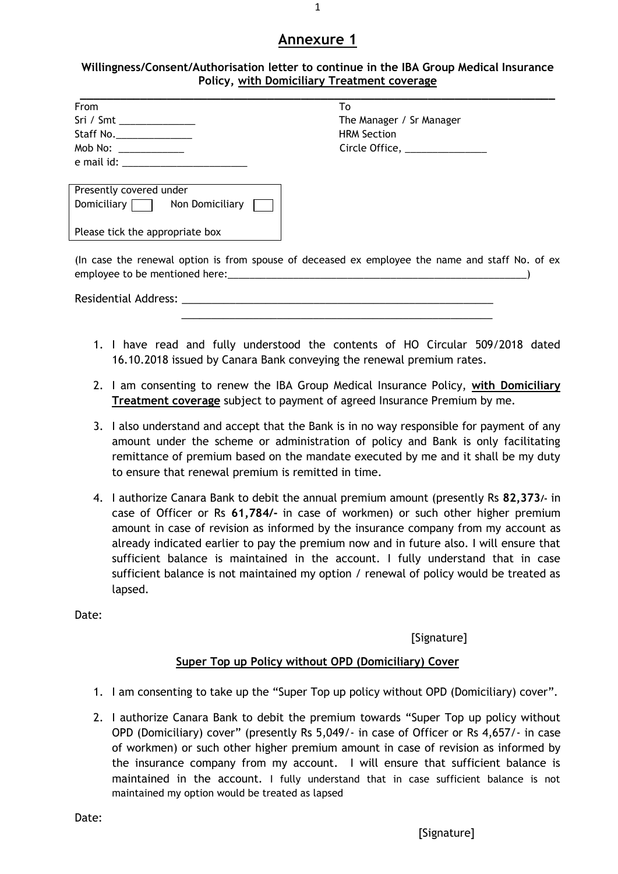## **Annexure 1**

#### **Willingness/Consent/Authorisation letter to continue in the IBA Group Medical Insurance Policy, with Domiciliary Treatment coverage**

| <b>From</b>                                                                                                                                                                                                                    | To                                                                                              |
|--------------------------------------------------------------------------------------------------------------------------------------------------------------------------------------------------------------------------------|-------------------------------------------------------------------------------------------------|
| Sri / Smt _______________                                                                                                                                                                                                      | The Manager / Sr Manager                                                                        |
| Staff No.                                                                                                                                                                                                                      | <b>HRM Section</b>                                                                              |
| Mob No: _____________                                                                                                                                                                                                          | Circle Office, ______________                                                                   |
|                                                                                                                                                                                                                                |                                                                                                 |
| Presently covered under                                                                                                                                                                                                        |                                                                                                 |
| Domiciliary Non Domiciliary                                                                                                                                                                                                    |                                                                                                 |
| Please tick the appropriate box                                                                                                                                                                                                |                                                                                                 |
| employee to be mentioned here: example and the same state of the state of the state of the state of the state of the state of the state of the state of the state of the state of the state of the state of the state of the s | (In case the renewal option is from spouse of deceased ex employee the name and staff No. of ex |
| Residential Address: North and the state of the state of the state of the state of the state of the state of the state of the state of the state of the state of the state of the state of the state of the state of the state |                                                                                                 |

- 1. I have read and fully understood the contents of HO Circular 509/2018 dated 16.10.2018 issued by Canara Bank conveying the renewal premium rates.
- 2. I am consenting to renew the IBA Group Medical Insurance Policy, **with Domiciliary Treatment coverage** subject to payment of agreed Insurance Premium by me.
- 3. I also understand and accept that the Bank is in no way responsible for payment of any amount under the scheme or administration of policy and Bank is only facilitating remittance of premium based on the mandate executed by me and it shall be my duty to ensure that renewal premium is remitted in time.
- 4. I authorize Canara Bank to debit the annual premium amount (presently Rs **82,373/-** in case of Officer or Rs **61,784/-** in case of workmen) or such other higher premium amount in case of revision as informed by the insurance company from my account as already indicated earlier to pay the premium now and in future also. I will ensure that sufficient balance is maintained in the account. I fully understand that in case sufficient balance is not maintained my option / renewal of policy would be treated as lapsed.

Date:

[Signature]

### **Super Top up Policy without OPD (Domiciliary) Cover**

- 1. I am consenting to take up the "Super Top up policy without OPD (Domiciliary) cover".
- 2. I authorize Canara Bank to debit the premium towards "Super Top up policy without OPD (Domiciliary) cover" (presently Rs 5,049/- in case of Officer or Rs 4,657/- in case of workmen) or such other higher premium amount in case of revision as informed by the insurance company from my account. I will ensure that sufficient balance is maintained in the account. I fully understand that in case sufficient balance is not maintained my option would be treated as lapsed

Date: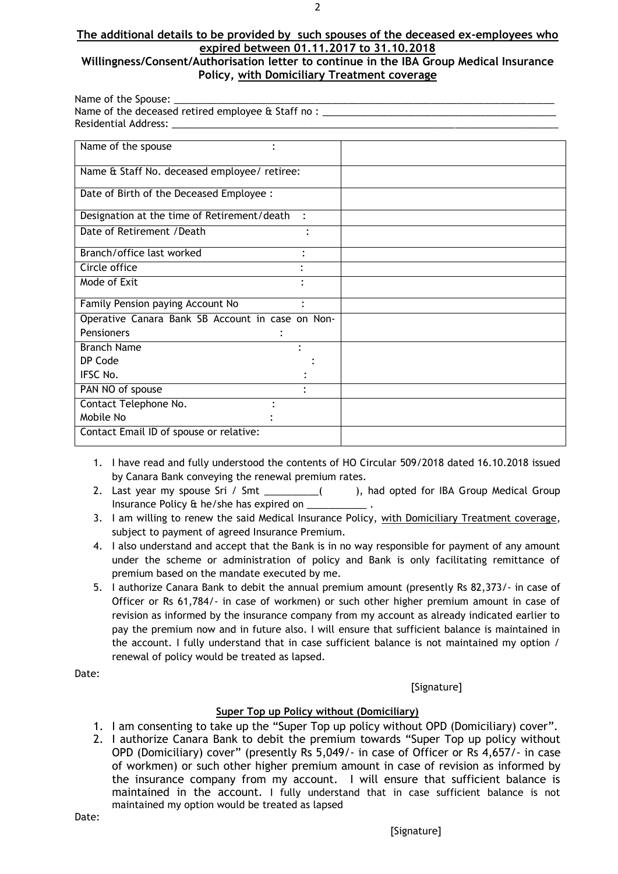# **The additional details to be provided by such spouses of the deceased ex-employees who expired between 01.11.2017 to 31.10.2018**

#### **Willingness/Consent/Authorisation letter to continue in the IBA Group Medical Insurance Policy, with Domiciliary Treatment coverage**

| Name of the Spouse: _                             |  |
|---------------------------------------------------|--|
| Name of the deceased retired employee & Staff no: |  |
| Residential Address:                              |  |

| Name of the spouse                               |                |  |
|--------------------------------------------------|----------------|--|
| Name & Staff No. deceased employee/ retiree:     |                |  |
| Date of Birth of the Deceased Employee :         |                |  |
| Designation at the time of Retirement/death      | $\ddot{\cdot}$ |  |
| Date of Retirement / Death                       |                |  |
| Branch/office last worked                        |                |  |
| Circle office                                    |                |  |
| Mode of Exit                                     |                |  |
| Family Pension paying Account No                 |                |  |
| Operative Canara Bank SB Account in case on Non- |                |  |
| <b>Pensioners</b>                                |                |  |
| <b>Branch Name</b>                               |                |  |
| DP Code                                          |                |  |
| IFSC No.                                         |                |  |
| PAN NO of spouse                                 |                |  |
| Contact Telephone No.                            |                |  |
| Mobile No                                        |                |  |
| Contact Email ID of spouse or relative:          |                |  |
|                                                  |                |  |

- 1. I have read and fully understood the contents of HO Circular 509/2018 dated 16.10.2018 issued by Canara Bank conveying the renewal premium rates.
- 2. Last year my spouse Sri / Smt \_\_\_\_\_\_\_\_\_\_( ), had opted for IBA Group Medical Group Insurance Policy & he/she has expired on \_\_\_\_\_\_
- 3. I am willing to renew the said Medical Insurance Policy, with Domiciliary Treatment coverage, subject to payment of agreed Insurance Premium.
- 4. I also understand and accept that the Bank is in no way responsible for payment of any amount under the scheme or administration of policy and Bank is only facilitating remittance of premium based on the mandate executed by me.
- 5. I authorize Canara Bank to debit the annual premium amount (presently Rs 82,373/- in case of Officer or Rs 61,784/- in case of workmen) or such other higher premium amount in case of revision as informed by the insurance company from my account as already indicated earlier to pay the premium now and in future also. I will ensure that sufficient balance is maintained in the account. I fully understand that in case sufficient balance is not maintained my option / renewal of policy would be treated as lapsed.

Date:

[Signature]

### **Super Top up Policy without (Domiciliary)**

- 1. I am consenting to take up the "Super Top up policy without OPD (Domiciliary) cover".
- 2. I authorize Canara Bank to debit the premium towards "Super Top up policy without OPD (Domiciliary) cover" (presently Rs 5,049/- in case of Officer or Rs 4,657/- in case of workmen) or such other higher premium amount in case of revision as informed by the insurance company from my account. I will ensure that sufficient balance is maintained in the account. I fully understand that in case sufficient balance is not maintained my option would be treated as lapsed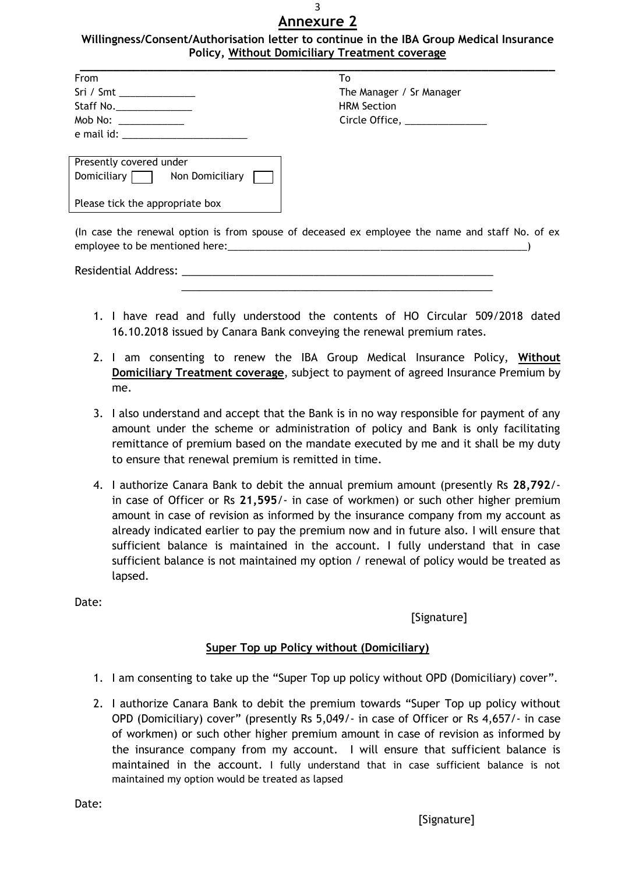#### 3 **Annexure 2**

#### **Willingness/Consent/Authorisation letter to continue in the IBA Group Medical Insurance Policy, Without Domiciliary Treatment coverage**

| From                 | T٥                            |
|----------------------|-------------------------------|
|                      | The Manager / Sr Manager      |
|                      | <b>HRM Section</b>            |
| Mob No: ____________ | Circle Office, ______________ |
| e mail id:           |                               |

| Presently covered under         |                 |  |  |  |
|---------------------------------|-----------------|--|--|--|
| Domiciliary $\Box$              | Non Domiciliary |  |  |  |
| Please tick the appropriate box |                 |  |  |  |

(In case the renewal option is from spouse of deceased ex employee the name and staff No. of ex employee to be mentioned here:

 $\frac{1}{\sqrt{2}}$  ,  $\frac{1}{\sqrt{2}}$  ,  $\frac{1}{\sqrt{2}}$  ,  $\frac{1}{\sqrt{2}}$  ,  $\frac{1}{\sqrt{2}}$  ,  $\frac{1}{\sqrt{2}}$  ,  $\frac{1}{\sqrt{2}}$  ,  $\frac{1}{\sqrt{2}}$  ,  $\frac{1}{\sqrt{2}}$  ,  $\frac{1}{\sqrt{2}}$  ,  $\frac{1}{\sqrt{2}}$  ,  $\frac{1}{\sqrt{2}}$  ,  $\frac{1}{\sqrt{2}}$  ,  $\frac{1}{\sqrt{2}}$  ,  $\frac{1}{\sqrt{2}}$ 

Residential Address: \_

- 1. I have read and fully understood the contents of HO Circular 509/2018 dated 16.10.2018 issued by Canara Bank conveying the renewal premium rates.
- 2. I am consenting to renew the IBA Group Medical Insurance Policy, **Without Domiciliary Treatment coverage**, subject to payment of agreed Insurance Premium by me.
- 3. I also understand and accept that the Bank is in no way responsible for payment of any amount under the scheme or administration of policy and Bank is only facilitating remittance of premium based on the mandate executed by me and it shall be my duty to ensure that renewal premium is remitted in time.
- 4. I authorize Canara Bank to debit the annual premium amount (presently Rs **28,792**/ in case of Officer or Rs **21,595**/- in case of workmen) or such other higher premium amount in case of revision as informed by the insurance company from my account as already indicated earlier to pay the premium now and in future also. I will ensure that sufficient balance is maintained in the account. I fully understand that in case sufficient balance is not maintained my option / renewal of policy would be treated as lapsed.

Date:

## [Signature]

## **Super Top up Policy without (Domiciliary)**

- 1. I am consenting to take up the "Super Top up policy without OPD (Domiciliary) cover".
- 2. I authorize Canara Bank to debit the premium towards "Super Top up policy without OPD (Domiciliary) cover" (presently Rs 5,049/- in case of Officer or Rs 4,657/- in case of workmen) or such other higher premium amount in case of revision as informed by the insurance company from my account. I will ensure that sufficient balance is maintained in the account. I fully understand that in case sufficient balance is not maintained my option would be treated as lapsed

Date: